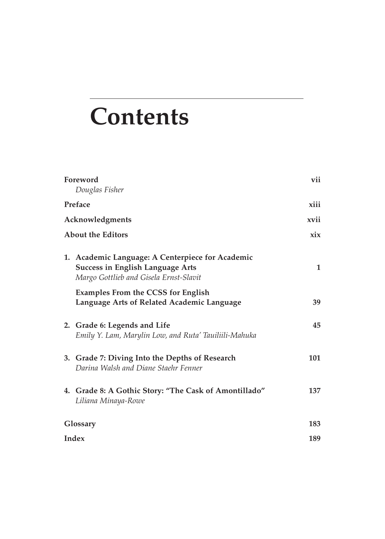# **Contents**

|                 | Foreword<br>Douglas Fisher                                                                                                            | vii  |
|-----------------|---------------------------------------------------------------------------------------------------------------------------------------|------|
|                 | Preface                                                                                                                               | xiii |
| Acknowledgments | xvii                                                                                                                                  |      |
|                 | <b>About the Editors</b>                                                                                                              | xix  |
|                 | 1. Academic Language: A Centerpiece for Academic<br><b>Success in English Language Arts</b><br>Margo Gottlieb and Gisela Ernst-Slavit | 1    |
|                 | <b>Examples From the CCSS for English</b><br>Language Arts of Related Academic Language                                               | 39   |
|                 | 2. Grade 6: Legends and Life<br>Emily Y. Lam, Marylin Low, and Ruta' Tauiliili-Mahuka                                                 | 45   |
|                 | 3. Grade 7: Diving Into the Depths of Research<br>Darina Walsh and Diane Staehr Fenner                                                | 101  |
|                 | 4. Grade 8: A Gothic Story: "The Cask of Amontillado"<br>Liliana Minaya-Rowe                                                          | 137  |
| Glossary        |                                                                                                                                       | 183  |
|                 | Index                                                                                                                                 |      |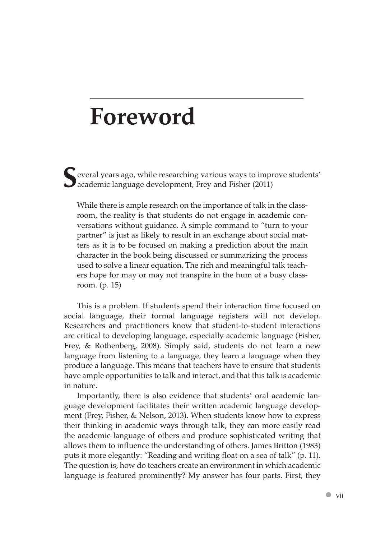# **Foreword**

Several years ago, while researching various ways to improve students' academic language development, Frey and Fisher (2011)

While there is ample research on the importance of talk in the classroom, the reality is that students do not engage in academic conversations without guidance. A simple command to "turn to your partner" is just as likely to result in an exchange about social matters as it is to be focused on making a prediction about the main character in the book being discussed or summarizing the process used to solve a linear equation. The rich and meaningful talk teachers hope for may or may not transpire in the hum of a busy classroom. (p. 15)

This is a problem. If students spend their interaction time focused on social language, their formal language registers will not develop. Researchers and practitioners know that student-to-student interactions are critical to developing language, especially academic language (Fisher, Frey, & Rothenberg, 2008). Simply said, students do not learn a new language from listening to a language, they learn a language when they produce a language. This means that teachers have to ensure that students have ample opportunities to talk and interact, and that this talk is academic in nature.

Importantly, there is also evidence that students' oral academic language development facilitates their written academic language development (Frey, Fisher, & Nelson, 2013). When students know how to express their thinking in academic ways through talk, they can more easily read the academic language of others and produce sophisticated writing that allows them to influence the understanding of others. James Britton (1983) puts it more elegantly: "Reading and writing float on a sea of talk" (p. 11). The question is, how do teachers create an environment in which academic language is featured prominently? My answer has four parts. First, they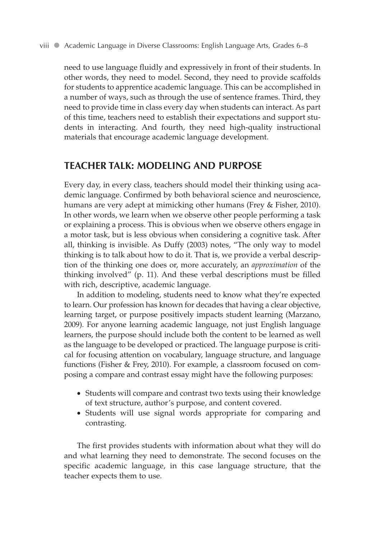## viii • Academic Language in Diverse Classrooms: English Language Arts, Grades 6–8

need to use language fluidly and expressively in front of their students. In other words, they need to model. Second, they need to provide scaffolds for students to apprentice academic language. This can be accomplished in a number of ways, such as through the use of sentence frames. Third, they need to provide time in class every day when students can interact. As part of this time, teachers need to establish their expectations and support students in interacting. And fourth, they need high-quality instructional materials that encourage academic language development.

#### **TEACHER TALK: MODELING AND PURPOSE**

Every day, in every class, teachers should model their thinking using academic language. Confirmed by both behavioral science and neuroscience, humans are very adept at mimicking other humans (Frey & Fisher, 2010). In other words, we learn when we observe other people performing a task or explaining a process. This is obvious when we observe others engage in a motor task, but is less obvious when considering a cognitive task. After all, thinking is invisible. As Duffy (2003) notes, "The only way to model thinking is to talk about how to do it. That is, we provide a verbal description of the thinking one does or, more accurately, an *approximation* of the thinking involved" (p. 11). And these verbal descriptions must be filled with rich, descriptive, academic language.

In addition to modeling, students need to know what they're expected to learn. Our profession has known for decades that having a clear objective, learning target, or purpose positively impacts student learning (Marzano, 2009). For anyone learning academic language, not just English language learners, the purpose should include both the content to be learned as well as the language to be developed or practiced. The language purpose is critical for focusing attention on vocabulary, language structure, and language functions (Fisher & Frey, 2010). For example, a classroom focused on composing a compare and contrast essay might have the following purposes:

- Students will compare and contrast two texts using their knowledge of text structure, author's purpose, and content covered.
- Students will use signal words appropriate for comparing and contrasting.

The first provides students with information about what they will do and what learning they need to demonstrate. The second focuses on the specific academic language, in this case language structure, that the teacher expects them to use.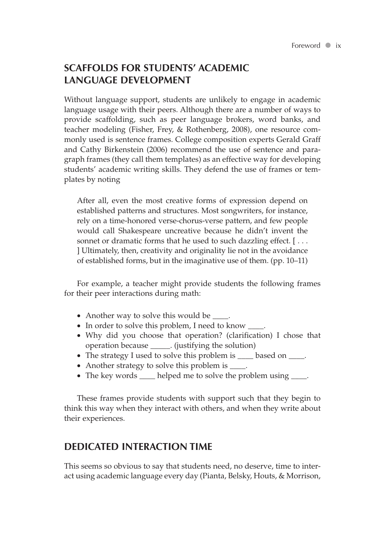### **SCAFFOLDS FOR STUDENTS' ACADEMIC LANGUAGE DEVELOPMENT**

Without language support, students are unlikely to engage in academic language usage with their peers. Although there are a number of ways to provide scaffolding, such as peer language brokers, word banks, and teacher modeling (Fisher, Frey, & Rothenberg, 2008), one resource commonly used is sentence frames. College composition experts Gerald Graff and Cathy Birkenstein (2006) recommend the use of sentence and paragraph frames (they call them templates) as an effective way for developing students' academic writing skills. They defend the use of frames or templates by noting

After all, even the most creative forms of expression depend on established patterns and structures. Most songwriters, for instance, rely on a time-honored verse-chorus-verse pattern, and few people would call Shakespeare uncreative because he didn't invent the sonnet or dramatic forms that he used to such dazzling effect. [ . . . ] Ultimately, then, creativity and originality lie not in the avoidance of established forms, but in the imaginative use of them. (pp. 10–11)

For example, a teacher might provide students the following frames for their peer interactions during math:

- Another way to solve this would be \_\_\_\_.
- In order to solve this problem, I need to know \_\_\_\_.
- Why did you choose that operation? (clarification) I chose that operation because \_\_\_\_\_. (justifying the solution)
- The strategy I used to solve this problem is  $\_\_\_\$ based on  $\_\_\_\$ .
- Another strategy to solve this problem is  $\qquad$ .
- The key words \_\_\_\_\_ helped me to solve the problem using \_\_\_\_.

These frames provide students with support such that they begin to think this way when they interact with others, and when they write about their experiences.

#### **DEDICATED INTERACTION TIME**

This seems so obvious to say that students need, no deserve, time to interact using academic language every day (Pianta, Belsky, Houts, & Morrison,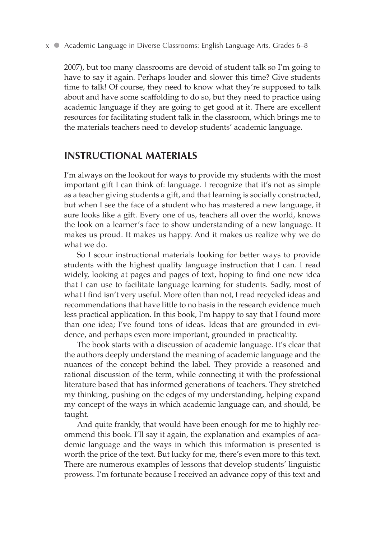## x • Academic Language in Diverse Classrooms: English Language Arts, Grades 6–8

2007), but too many classrooms are devoid of student talk so I'm going to have to say it again. Perhaps louder and slower this time? Give students time to talk! Of course, they need to know what they're supposed to talk about and have some scaffolding to do so, but they need to practice using academic language if they are going to get good at it. There are excellent resources for facilitating student talk in the classroom, which brings me to the materials teachers need to develop students' academic language.

#### **INSTRUCTIONAL MATERIALS**

I'm always on the lookout for ways to provide my students with the most important gift I can think of: language. I recognize that it's not as simple as a teacher giving students a gift, and that learning is socially constructed, but when I see the face of a student who has mastered a new language, it sure looks like a gift. Every one of us, teachers all over the world, knows the look on a learner's face to show understanding of a new language. It makes us proud. It makes us happy. And it makes us realize why we do what we do.

So I scour instructional materials looking for better ways to provide students with the highest quality language instruction that I can. I read widely, looking at pages and pages of text, hoping to find one new idea that I can use to facilitate language learning for students. Sadly, most of what I find isn't very useful. More often than not, I read recycled ideas and recommendations that have little to no basis in the research evidence much less practical application. In this book, I'm happy to say that I found more than one idea; I've found tons of ideas. Ideas that are grounded in evidence, and perhaps even more important, grounded in practicality.

The book starts with a discussion of academic language. It's clear that the authors deeply understand the meaning of academic language and the nuances of the concept behind the label. They provide a reasoned and rational discussion of the term, while connecting it with the professional literature based that has informed generations of teachers. They stretched my thinking, pushing on the edges of my understanding, helping expand my concept of the ways in which academic language can, and should, be taught.

And quite frankly, that would have been enough for me to highly recommend this book. I'll say it again, the explanation and examples of academic language and the ways in which this information is presented is worth the price of the text. But lucky for me, there's even more to this text. There are numerous examples of lessons that develop students' linguistic prowess. I'm fortunate because I received an advance copy of this text and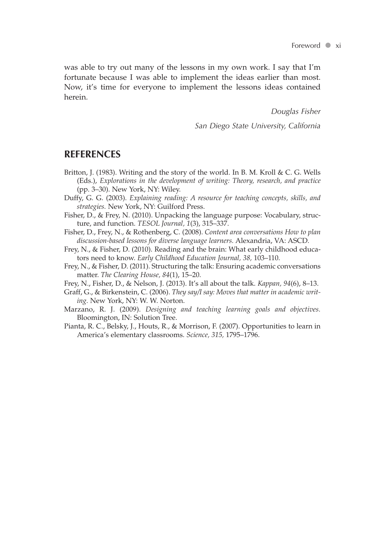was able to try out many of the lessons in my own work. I say that I'm fortunate because I was able to implement the ideas earlier than most. Now, it's time for everyone to implement the lessons ideas contained herein.

*Douglas Fisher*

*San Diego State University, California*

#### **REFERENCES**

- Britton, J. (1983). Writing and the story of the world. In B. M. Kroll & C. G. Wells (Eds.), *Explorations in the development of writing: Theory, research, and practice*  (pp. 3–30). New York, NY: Wiley.
- Duffy, G. G. (2003). *Explaining reading: A resource for teaching concepts, skills, and strategies.* New York, NY: Guilford Press.
- Fisher, D., & Frey, N. (2010). Unpacking the language purpose: Vocabulary, structure, and function. *TESOL Journal, 1*(3), 315–337.

Fisher, D., Frey, N., & Rothenberg, C. (2008). *Content area conversations How to plan discussion-based lessons for diverse language learners.* Alexandria, VA: ASCD.

- Frey, N., & Fisher, D. (2010). Reading and the brain: What early childhood educators need to know. *Early Childhood Education Journal, 38,* 103–110.
- Frey, N., & Fisher, D. (2011). Structuring the talk: Ensuring academic conversations matter. *The Clearing House, 84*(1), 15–20.

Frey, N., Fisher, D., & Nelson, J. (2013). It's all about the talk. *Kappan, 94*(6), 8–13.

- Graff, G., & Birkenstein, C. (2006). *They say/I say: Moves that matter in academic writing.* New York, NY: W. W. Norton.
- Marzano, R. J. (2009). *Designing and teaching learning goals and objectives.* Bloomington, IN: Solution Tree.
- Pianta, R. C., Belsky, J., Houts, R., & Morrison, F. (2007). Opportunities to learn in America's elementary classrooms. *Science, 315,* 1795–1796.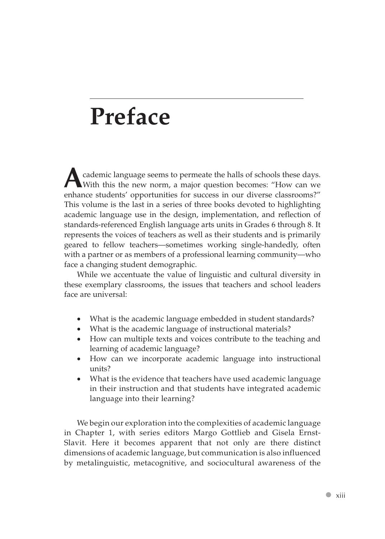# **Preface**

cademic language seems to permeate the halls of schools these days. With this the new norm, a major question becomes: "How can we enhance students' opportunities for success in our diverse classrooms?" This volume is the last in a series of three books devoted to highlighting academic language use in the design, implementation, and reflection of standards-referenced English language arts units in Grades 6 through 8. It represents the voices of teachers as well as their students and is primarily geared to fellow teachers—sometimes working single-handedly, often with a partner or as members of a professional learning community—who face a changing student demographic.

While we accentuate the value of linguistic and cultural diversity in these exemplary classrooms, the issues that teachers and school leaders face are universal:

- What is the academic language embedded in student standards?
- What is the academic language of instructional materials?
- How can multiple texts and voices contribute to the teaching and learning of academic language?
- How can we incorporate academic language into instructional units?
- What is the evidence that teachers have used academic language in their instruction and that students have integrated academic language into their learning?

We begin our exploration into the complexities of academic language in Chapter 1, with series editors Margo Gottlieb and Gisela Ernst-Slavit. Here it becomes apparent that not only are there distinct dimensions of academic language, but communication is also influenced by metalinguistic, metacognitive, and sociocultural awareness of the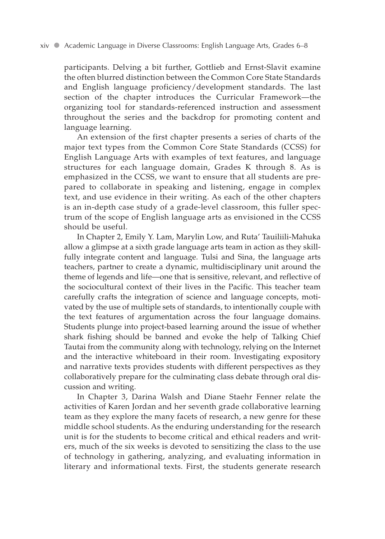## xiv • Academic Language in Diverse Classrooms: English Language Arts, Grades 6–8

participants. Delving a bit further, Gottlieb and Ernst-Slavit examine the often blurred distinction between the Common Core State Standards and English language proficiency/development standards. The last section of the chapter introduces the Curricular Framework—the organizing tool for standards-referenced instruction and assessment throughout the series and the backdrop for promoting content and language learning.

An extension of the first chapter presents a series of charts of the major text types from the Common Core State Standards (CCSS) for English Language Arts with examples of text features, and language structures for each language domain, Grades K through 8. As is emphasized in the CCSS, we want to ensure that all students are prepared to collaborate in speaking and listening, engage in complex text, and use evidence in their writing. As each of the other chapters is an in-depth case study of a grade-level classroom, this fuller spectrum of the scope of English language arts as envisioned in the CCSS should be useful.

In Chapter 2, Emily Y. Lam, Marylin Low, and Ruta' Tauiliili-Mahuka allow a glimpse at a sixth grade language arts team in action as they skillfully integrate content and language. Tulsi and Sina, the language arts teachers, partner to create a dynamic, multidisciplinary unit around the theme of legends and life—one that is sensitive, relevant, and reflective of the sociocultural context of their lives in the Pacific. This teacher team carefully crafts the integration of science and language concepts, motivated by the use of multiple sets of standards, to intentionally couple with the text features of argumentation across the four language domains. Students plunge into project-based learning around the issue of whether shark fishing should be banned and evoke the help of Talking Chief Tautai from the community along with technology, relying on the Internet and the interactive whiteboard in their room. Investigating expository and narrative texts provides students with different perspectives as they collaboratively prepare for the culminating class debate through oral discussion and writing.

In Chapter 3, Darina Walsh and Diane Staehr Fenner relate the activities of Karen Jordan and her seventh grade collaborative learning team as they explore the many facets of research, a new genre for these middle school students. As the enduring understanding for the research unit is for the students to become critical and ethical readers and writers, much of the six weeks is devoted to sensitizing the class to the use of technology in gathering, analyzing, and evaluating information in literary and informational texts. First, the students generate research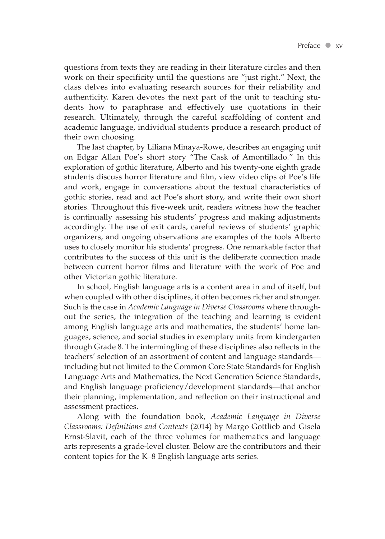questions from texts they are reading in their literature circles and then work on their specificity until the questions are "just right." Next, the class delves into evaluating research sources for their reliability and authenticity. Karen devotes the next part of the unit to teaching students how to paraphrase and effectively use quotations in their research. Ultimately, through the careful scaffolding of content and academic language, individual students produce a research product of their own choosing.

The last chapter, by Liliana Minaya-Rowe, describes an engaging unit on Edgar Allan Poe's short story "The Cask of Amontillado." In this exploration of gothic literature, Alberto and his twenty-one eighth grade students discuss horror literature and film, view video clips of Poe's life and work, engage in conversations about the textual characteristics of gothic stories, read and act Poe's short story, and write their own short stories. Throughout this five-week unit, readers witness how the teacher is continually assessing his students' progress and making adjustments accordingly. The use of exit cards, careful reviews of students' graphic organizers, and ongoing observations are examples of the tools Alberto uses to closely monitor his students' progress. One remarkable factor that contributes to the success of this unit is the deliberate connection made between current horror films and literature with the work of Poe and other Victorian gothic literature.

In school, English language arts is a content area in and of itself, but when coupled with other disciplines, it often becomes richer and stronger. Such is the case in *Academic Language in Diverse Classrooms* where throughout the series, the integration of the teaching and learning is evident among English language arts and mathematics, the students' home languages, science, and social studies in exemplary units from kindergarten through Grade 8. The intermingling of these disciplines also reflects in the teachers' selection of an assortment of content and language standards including but not limited to the Common Core State Standards for English Language Arts and Mathematics, the Next Generation Science Standards, and English language proficiency/development standards—that anchor their planning, implementation, and reflection on their instructional and assessment practices.

Along with the foundation book, *Academic Language in Diverse Classrooms: Definitions and Contexts* (2014) by Margo Gottlieb and Gisela Ernst-Slavit, each of the three volumes for mathematics and language arts represents a grade-level cluster. Below are the contributors and their content topics for the K–8 English language arts series.